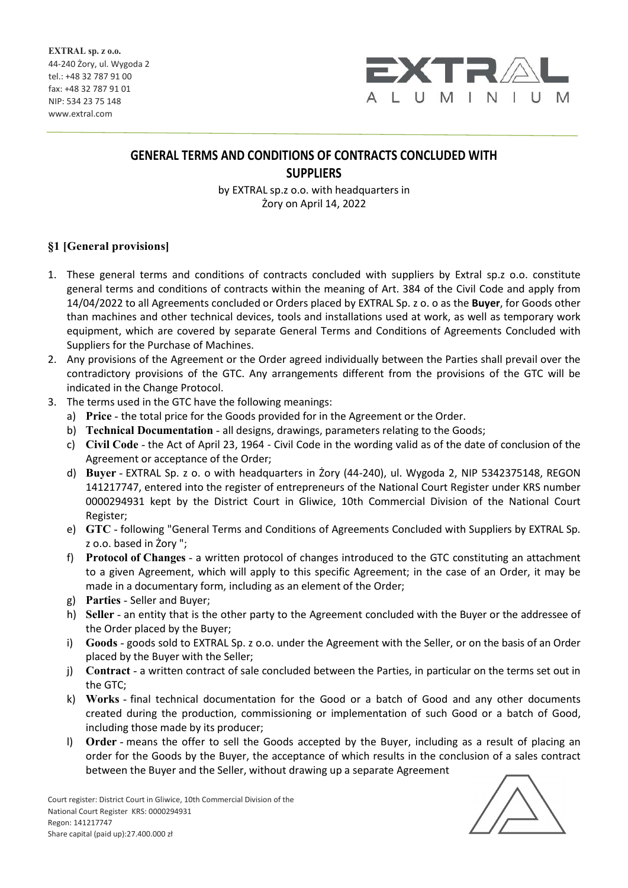

# **GENERAL TERMS AND CONDITIONS OF CONTRACTS CONCLUDED WITH SUPPLIERS**

by EXTRAL sp.z o.o. with headquarters in Żory on April 14, 2022

# §1 [General provisions]

- 1. These general terms and conditions of contracts concluded with suppliers by Extral sp.z o.o. constitute general terms and conditions of contracts within the meaning of Art. 384 of the Civil Code and apply from 14/04/2022 to all Agreements concluded or Orders placed by EXTRAL Sp. z o. o as the **Buyer**, for Goods other than machines and other technical devices, tools and installations used at work, as well as temporary work equipment, which are covered by separate General Terms and Conditions of Agreements Concluded with Suppliers for the Purchase of Machines.
- 2. Any provisions of the Agreement or the Order agreed individually between the Parties shall prevail over the contradictory provisions of the GTC. Any arrangements different from the provisions of the GTC will be indicated in the Change Protocol.
- 3. The terms used in the GTC have the following meanings:
	- a) Price the total price for the Goods provided for in the Agreement or the Order.
	- b) Technical Documentation all designs, drawings, parameters relating to the Goods;
	- c) Civil Code the Act of April 23, 1964 Civil Code in the wording valid as of the date of conclusion of the Agreement or acceptance of the Order;
	- d) Buyer EXTRAL Sp. z o. o with headquarters in Żory (44-240), ul. Wygoda 2, NIP 5342375148, REGON 141217747, entered into the register of entrepreneurs of the National Court Register under KRS number 0000294931 kept by the District Court in Gliwice, 10th Commercial Division of the National Court Register;
	- e) GTC following "General Terms and Conditions of Agreements Concluded with Suppliers by EXTRAL Sp. z o.o. based in Żory ";
	- f) Protocol of Changes a written protocol of changes introduced to the GTC constituting an attachment to a given Agreement, which will apply to this specific Agreement; in the case of an Order, it may be made in a documentary form, including as an element of the Order;
	- g) Parties Seller and Buyer;
	- h) Seller an entity that is the other party to the Agreement concluded with the Buyer or the addressee of the Order placed by the Buyer;
	- i) Goods goods sold to EXTRAL Sp. z o.o. under the Agreement with the Seller, or on the basis of an Order placed by the Buyer with the Seller;
	- j) Contract a written contract of sale concluded between the Parties, in particular on the terms set out in the GTC;
	- k) Works final technical documentation for the Good or a batch of Good and any other documents created during the production, commissioning or implementation of such Good or a batch of Good, including those made by its producer;
	- l) Order means the offer to sell the Goods accepted by the Buyer, including as a result of placing an order for the Goods by the Buyer, the acceptance of which results in the conclusion of a sales contract between the Buyer and the Seller, without drawing up a separate Agreement

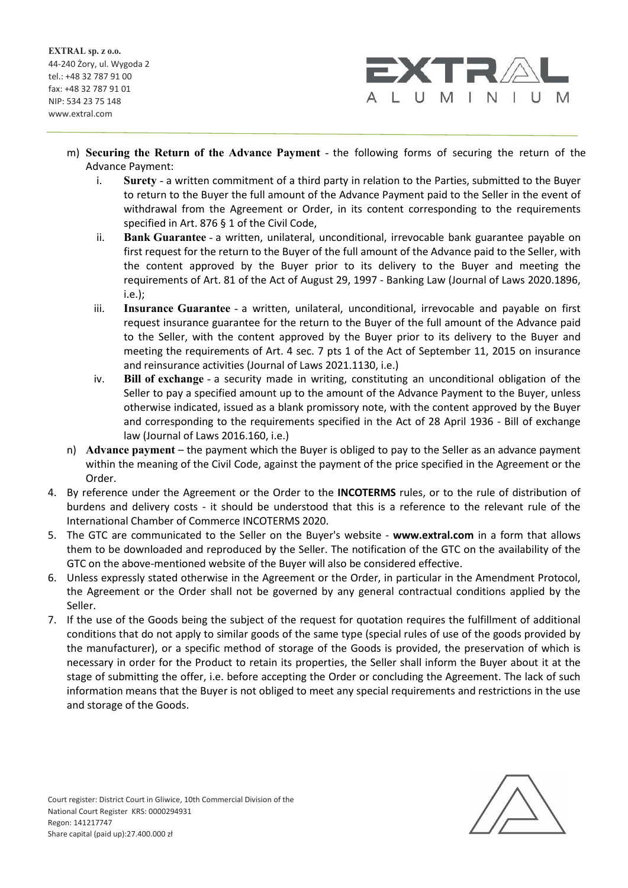

- m) Securing the Return of the Advance Payment the following forms of securing the return of the Advance Payment:
	- i. Surety a written commitment of a third party in relation to the Parties, submitted to the Buyer to return to the Buyer the full amount of the Advance Payment paid to the Seller in the event of withdrawal from the Agreement or Order, in its content corresponding to the requirements specified in Art. 876 § 1 of the Civil Code,
	- ii. Bank Guarantee a written, unilateral, unconditional, irrevocable bank guarantee payable on first request for the return to the Buyer of the full amount of the Advance paid to the Seller, with the content approved by the Buyer prior to its delivery to the Buyer and meeting the requirements of Art. 81 of the Act of August 29, 1997 - Banking Law (Journal of Laws 2020.1896, i.e.);
	- iii. Insurance Guarantee a written, unilateral, unconditional, irrevocable and payable on first request insurance guarantee for the return to the Buyer of the full amount of the Advance paid to the Seller, with the content approved by the Buyer prior to its delivery to the Buyer and meeting the requirements of Art. 4 sec. 7 pts 1 of the Act of September 11, 2015 on insurance and reinsurance activities (Journal of Laws 2021.1130, i.e.)
	- iv. Bill of exchange a security made in writing, constituting an unconditional obligation of the Seller to pay a specified amount up to the amount of the Advance Payment to the Buyer, unless otherwise indicated, issued as a blank promissory note, with the content approved by the Buyer and corresponding to the requirements specified in the Act of 28 April 1936 - Bill of exchange law (Journal of Laws 2016.160, i.e.)
- n) Advance payment the payment which the Buyer is obliged to pay to the Seller as an advance payment within the meaning of the Civil Code, against the payment of the price specified in the Agreement or the Order.
- 4. By reference under the Agreement or the Order to the **INCOTERMS** rules, or to the rule of distribution of burdens and delivery costs - it should be understood that this is a reference to the relevant rule of the International Chamber of Commerce INCOTERMS 2020.
- 5. The GTC are communicated to the Seller on the Buyer's website **www.extral.com** in a form that allows them to be downloaded and reproduced by the Seller. The notification of the GTC on the availability of the GTC on the above-mentioned website of the Buyer will also be considered effective.
- 6. Unless expressly stated otherwise in the Agreement or the Order, in particular in the Amendment Protocol, the Agreement or the Order shall not be governed by any general contractual conditions applied by the Seller.
- 7. If the use of the Goods being the subject of the request for quotation requires the fulfillment of additional conditions that do not apply to similar goods of the same type (special rules of use of the goods provided by the manufacturer), or a specific method of storage of the Goods is provided, the preservation of which is necessary in order for the Product to retain its properties, the Seller shall inform the Buyer about it at the stage of submitting the offer, i.e. before accepting the Order or concluding the Agreement. The lack of such information means that the Buyer is not obliged to meet any special requirements and restrictions in the use and storage of the Goods.

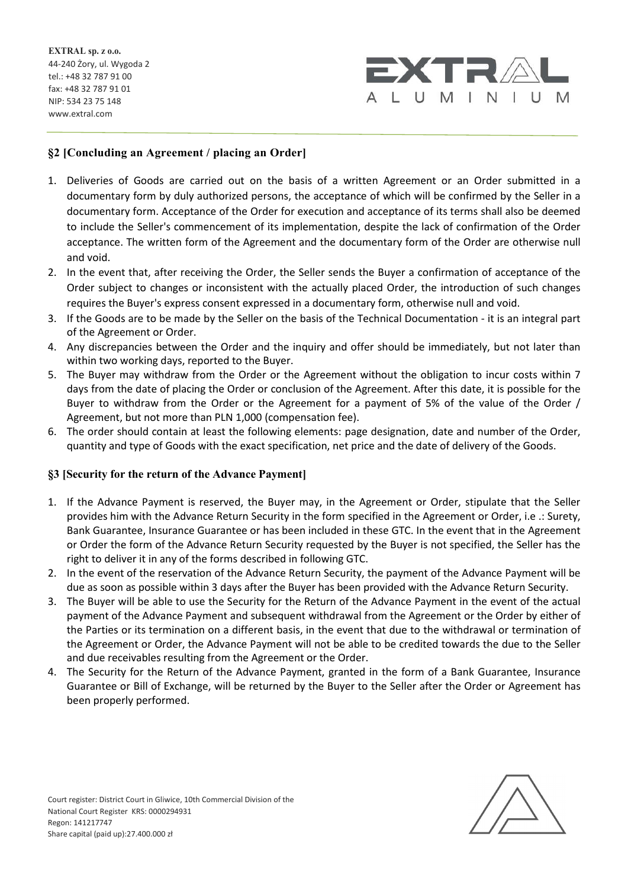

## §2 [Concluding an Agreement / placing an Order]

- 1. Deliveries of Goods are carried out on the basis of a written Agreement or an Order submitted in a documentary form by duly authorized persons, the acceptance of which will be confirmed by the Seller in a documentary form. Acceptance of the Order for execution and acceptance of its terms shall also be deemed to include the Seller's commencement of its implementation, despite the lack of confirmation of the Order acceptance. The written form of the Agreement and the documentary form of the Order are otherwise null and void.
- 2. In the event that, after receiving the Order, the Seller sends the Buyer a confirmation of acceptance of the Order subject to changes or inconsistent with the actually placed Order, the introduction of such changes requires the Buyer's express consent expressed in a documentary form, otherwise null and void.
- 3. If the Goods are to be made by the Seller on the basis of the Technical Documentation it is an integral part of the Agreement or Order.
- 4. Any discrepancies between the Order and the inquiry and offer should be immediately, but not later than within two working days, reported to the Buyer.
- 5. The Buyer may withdraw from the Order or the Agreement without the obligation to incur costs within 7 days from the date of placing the Order or conclusion of the Agreement. After this date, it is possible for the Buyer to withdraw from the Order or the Agreement for a payment of 5% of the value of the Order / Agreement, but not more than PLN 1,000 (compensation fee).
- 6. The order should contain at least the following elements: page designation, date and number of the Order, quantity and type of Goods with the exact specification, net price and the date of delivery of the Goods.

#### §3 [Security for the return of the Advance Payment]

- 1. If the Advance Payment is reserved, the Buyer may, in the Agreement or Order, stipulate that the Seller provides him with the Advance Return Security in the form specified in the Agreement or Order, i.e .: Surety, Bank Guarantee, Insurance Guarantee or has been included in these GTC. In the event that in the Agreement or Order the form of the Advance Return Security requested by the Buyer is not specified, the Seller has the right to deliver it in any of the forms described in following GTC.
- 2. In the event of the reservation of the Advance Return Security, the payment of the Advance Payment will be due as soon as possible within 3 days after the Buyer has been provided with the Advance Return Security.
- 3. The Buyer will be able to use the Security for the Return of the Advance Payment in the event of the actual payment of the Advance Payment and subsequent withdrawal from the Agreement or the Order by either of the Parties or its termination on a different basis, in the event that due to the withdrawal or termination of the Agreement or Order, the Advance Payment will not be able to be credited towards the due to the Seller and due receivables resulting from the Agreement or the Order.
- 4. The Security for the Return of the Advance Payment, granted in the form of a Bank Guarantee, Insurance Guarantee or Bill of Exchange, will be returned by the Buyer to the Seller after the Order or Agreement has been properly performed.

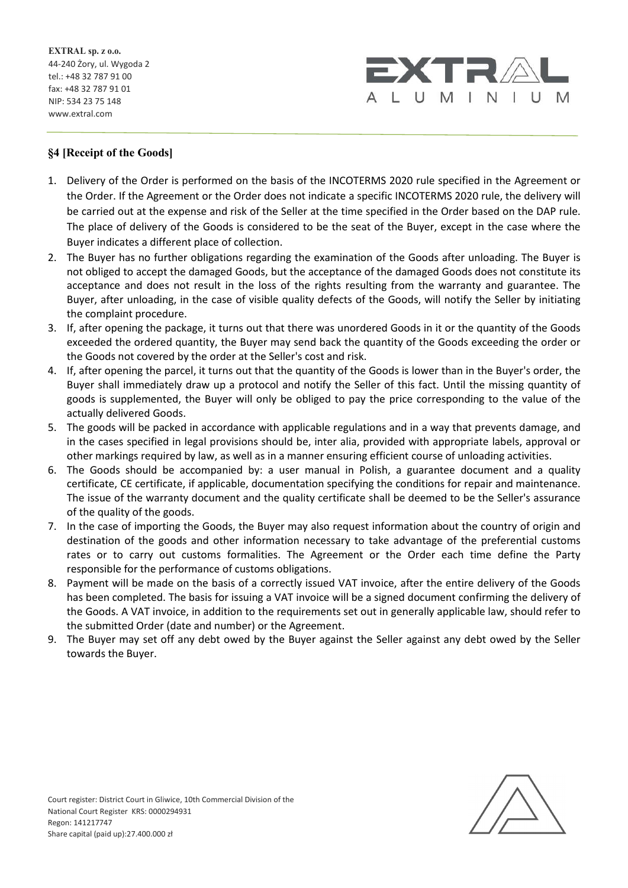

### §4 [Receipt of the Goods]

- 1. Delivery of the Order is performed on the basis of the INCOTERMS 2020 rule specified in the Agreement or the Order. If the Agreement or the Order does not indicate a specific INCOTERMS 2020 rule, the delivery will be carried out at the expense and risk of the Seller at the time specified in the Order based on the DAP rule. The place of delivery of the Goods is considered to be the seat of the Buyer, except in the case where the Buyer indicates a different place of collection.
- 2. The Buyer has no further obligations regarding the examination of the Goods after unloading. The Buyer is not obliged to accept the damaged Goods, but the acceptance of the damaged Goods does not constitute its acceptance and does not result in the loss of the rights resulting from the warranty and guarantee. The Buyer, after unloading, in the case of visible quality defects of the Goods, will notify the Seller by initiating the complaint procedure.
- 3. If, after opening the package, it turns out that there was unordered Goods in it or the quantity of the Goods exceeded the ordered quantity, the Buyer may send back the quantity of the Goods exceeding the order or the Goods not covered by the order at the Seller's cost and risk.
- 4. If, after opening the parcel, it turns out that the quantity of the Goods is lower than in the Buyer's order, the Buyer shall immediately draw up a protocol and notify the Seller of this fact. Until the missing quantity of goods is supplemented, the Buyer will only be obliged to pay the price corresponding to the value of the actually delivered Goods.
- 5. The goods will be packed in accordance with applicable regulations and in a way that prevents damage, and in the cases specified in legal provisions should be, inter alia, provided with appropriate labels, approval or other markings required by law, as well as in a manner ensuring efficient course of unloading activities.
- 6. The Goods should be accompanied by: a user manual in Polish, a guarantee document and a quality certificate, CE certificate, if applicable, documentation specifying the conditions for repair and maintenance. The issue of the warranty document and the quality certificate shall be deemed to be the Seller's assurance of the quality of the goods.
- 7. In the case of importing the Goods, the Buyer may also request information about the country of origin and destination of the goods and other information necessary to take advantage of the preferential customs rates or to carry out customs formalities. The Agreement or the Order each time define the Party responsible for the performance of customs obligations.
- 8. Payment will be made on the basis of a correctly issued VAT invoice, after the entire delivery of the Goods has been completed. The basis for issuing a VAT invoice will be a signed document confirming the delivery of the Goods. A VAT invoice, in addition to the requirements set out in generally applicable law, should refer to the submitted Order (date and number) or the Agreement.
- 9. The Buyer may set off any debt owed by the Buyer against the Seller against any debt owed by the Seller towards the Buyer.

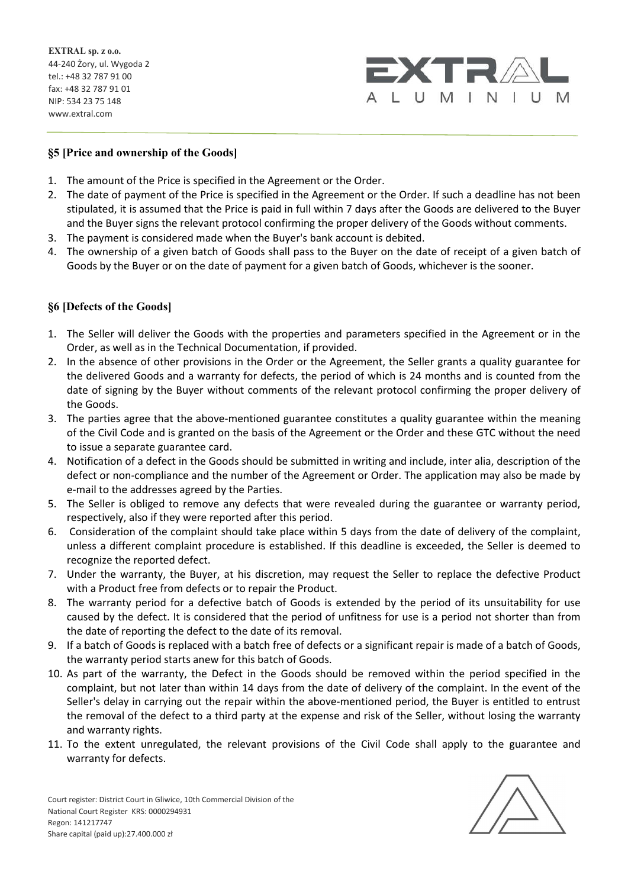

#### §5 [Price and ownership of the Goods]

- 1. The amount of the Price is specified in the Agreement or the Order.
- 2. The date of payment of the Price is specified in the Agreement or the Order. If such a deadline has not been stipulated, it is assumed that the Price is paid in full within 7 days after the Goods are delivered to the Buyer and the Buyer signs the relevant protocol confirming the proper delivery of the Goods without comments.
- 3. The payment is considered made when the Buyer's bank account is debited.
- 4. The ownership of a given batch of Goods shall pass to the Buyer on the date of receipt of a given batch of Goods by the Buyer or on the date of payment for a given batch of Goods, whichever is the sooner.

### §6 [Defects of the Goods]

- 1. The Seller will deliver the Goods with the properties and parameters specified in the Agreement or in the Order, as well as in the Technical Documentation, if provided.
- 2. In the absence of other provisions in the Order or the Agreement, the Seller grants a quality guarantee for the delivered Goods and a warranty for defects, the period of which is 24 months and is counted from the date of signing by the Buyer without comments of the relevant protocol confirming the proper delivery of the Goods.
- 3. The parties agree that the above-mentioned guarantee constitutes a quality guarantee within the meaning of the Civil Code and is granted on the basis of the Agreement or the Order and these GTC without the need to issue a separate guarantee card.
- 4. Notification of a defect in the Goods should be submitted in writing and include, inter alia, description of the defect or non-compliance and the number of the Agreement or Order. The application may also be made by e-mail to the addresses agreed by the Parties.
- 5. The Seller is obliged to remove any defects that were revealed during the guarantee or warranty period, respectively, also if they were reported after this period.
- 6. Consideration of the complaint should take place within 5 days from the date of delivery of the complaint, unless a different complaint procedure is established. If this deadline is exceeded, the Seller is deemed to recognize the reported defect.
- 7. Under the warranty, the Buyer, at his discretion, may request the Seller to replace the defective Product with a Product free from defects or to repair the Product.
- 8. The warranty period for a defective batch of Goods is extended by the period of its unsuitability for use caused by the defect. It is considered that the period of unfitness for use is a period not shorter than from the date of reporting the defect to the date of its removal.
- 9. If a batch of Goods is replaced with a batch free of defects or a significant repair is made of a batch of Goods, the warranty period starts anew for this batch of Goods.
- 10. As part of the warranty, the Defect in the Goods should be removed within the period specified in the complaint, but not later than within 14 days from the date of delivery of the complaint. In the event of the Seller's delay in carrying out the repair within the above-mentioned period, the Buyer is entitled to entrust the removal of the defect to a third party at the expense and risk of the Seller, without losing the warranty and warranty rights.
- 11. To the extent unregulated, the relevant provisions of the Civil Code shall apply to the guarantee and warranty for defects.

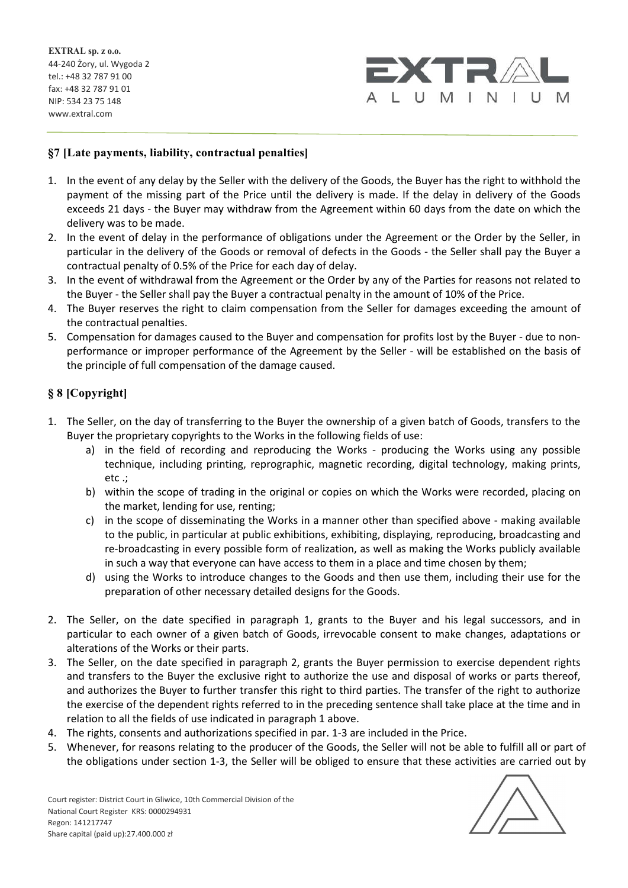

# §7 [Late payments, liability, contractual penalties]

- 1. In the event of any delay by the Seller with the delivery of the Goods, the Buyer has the right to withhold the payment of the missing part of the Price until the delivery is made. If the delay in delivery of the Goods exceeds 21 days - the Buyer may withdraw from the Agreement within 60 days from the date on which the delivery was to be made.
- 2. In the event of delay in the performance of obligations under the Agreement or the Order by the Seller, in particular in the delivery of the Goods or removal of defects in the Goods - the Seller shall pay the Buyer a contractual penalty of 0.5% of the Price for each day of delay.
- 3. In the event of withdrawal from the Agreement or the Order by any of the Parties for reasons not related to the Buyer - the Seller shall pay the Buyer a contractual penalty in the amount of 10% of the Price.
- 4. The Buyer reserves the right to claim compensation from the Seller for damages exceeding the amount of the contractual penalties.
- 5. Compensation for damages caused to the Buyer and compensation for profits lost by the Buyer due to nonperformance or improper performance of the Agreement by the Seller - will be established on the basis of the principle of full compensation of the damage caused.

#### § 8 [Copyright]

- 1. The Seller, on the day of transferring to the Buyer the ownership of a given batch of Goods, transfers to the Buyer the proprietary copyrights to the Works in the following fields of use:
	- a) in the field of recording and reproducing the Works producing the Works using any possible technique, including printing, reprographic, magnetic recording, digital technology, making prints, etc .;
	- b) within the scope of trading in the original or copies on which the Works were recorded, placing on the market, lending for use, renting;
	- c) in the scope of disseminating the Works in a manner other than specified above making available to the public, in particular at public exhibitions, exhibiting, displaying, reproducing, broadcasting and re-broadcasting in every possible form of realization, as well as making the Works publicly available in such a way that everyone can have access to them in a place and time chosen by them;
	- d) using the Works to introduce changes to the Goods and then use them, including their use for the preparation of other necessary detailed designs for the Goods.
- 2. The Seller, on the date specified in paragraph 1, grants to the Buyer and his legal successors, and in particular to each owner of a given batch of Goods, irrevocable consent to make changes, adaptations or alterations of the Works or their parts.
- 3. The Seller, on the date specified in paragraph 2, grants the Buyer permission to exercise dependent rights and transfers to the Buyer the exclusive right to authorize the use and disposal of works or parts thereof, and authorizes the Buyer to further transfer this right to third parties. The transfer of the right to authorize the exercise of the dependent rights referred to in the preceding sentence shall take place at the time and in relation to all the fields of use indicated in paragraph 1 above.
- 4. The rights, consents and authorizations specified in par. 1-3 are included in the Price.
- 5. Whenever, for reasons relating to the producer of the Goods, the Seller will not be able to fulfill all or part of the obligations under section 1-3, the Seller will be obliged to ensure that these activities are carried out by

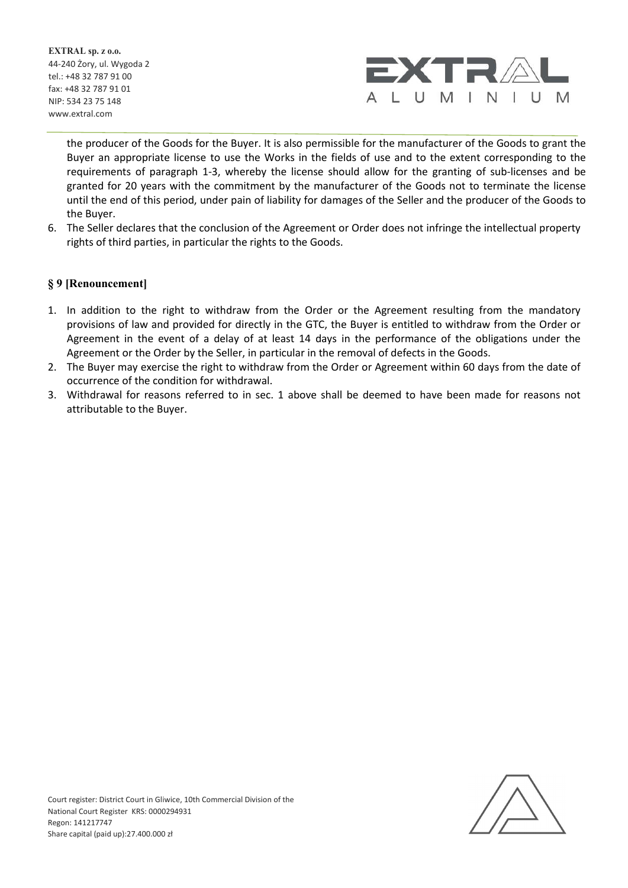

the producer of the Goods for the Buyer. It is also permissible for the manufacturer of the Goods to grant the Buyer an appropriate license to use the Works in the fields of use and to the extent corresponding to the requirements of paragraph 1-3, whereby the license should allow for the granting of sub-licenses and be granted for 20 years with the commitment by the manufacturer of the Goods not to terminate the license until the end of this period, under pain of liability for damages of the Seller and the producer of the Goods to the Buyer.

6. The Seller declares that the conclusion of the Agreement or Order does not infringe the intellectual property rights of third parties, in particular the rights to the Goods.

#### § 9 [Renouncement]

- 1. In addition to the right to withdraw from the Order or the Agreement resulting from the mandatory provisions of law and provided for directly in the GTC, the Buyer is entitled to withdraw from the Order or Agreement in the event of a delay of at least 14 days in the performance of the obligations under the Agreement or the Order by the Seller, in particular in the removal of defects in the Goods.
- 2. The Buyer may exercise the right to withdraw from the Order or Agreement within 60 days from the date of occurrence of the condition for withdrawal.
- 3. Withdrawal for reasons referred to in sec. 1 above shall be deemed to have been made for reasons not attributable to the Buyer.